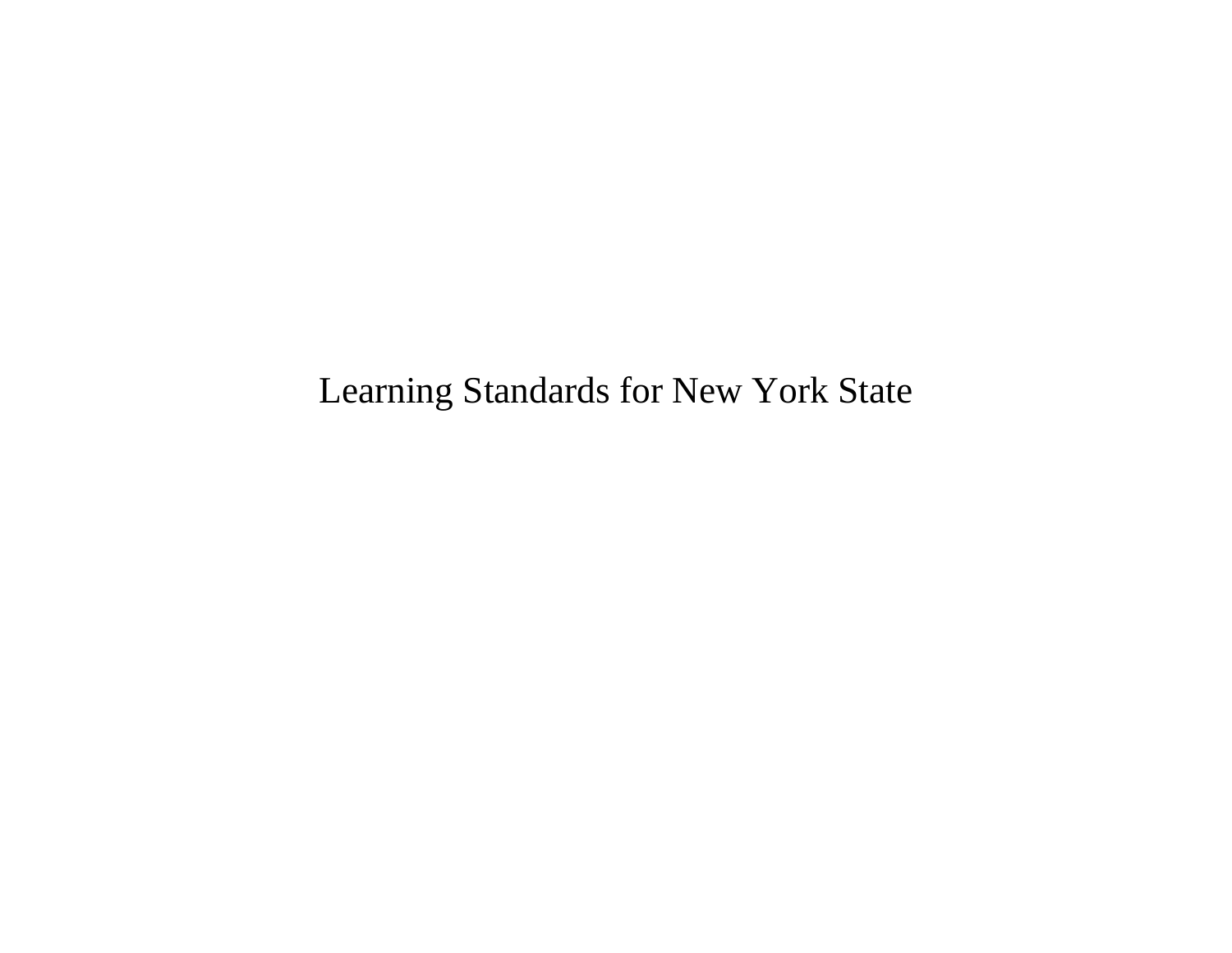Learning Standards for New York State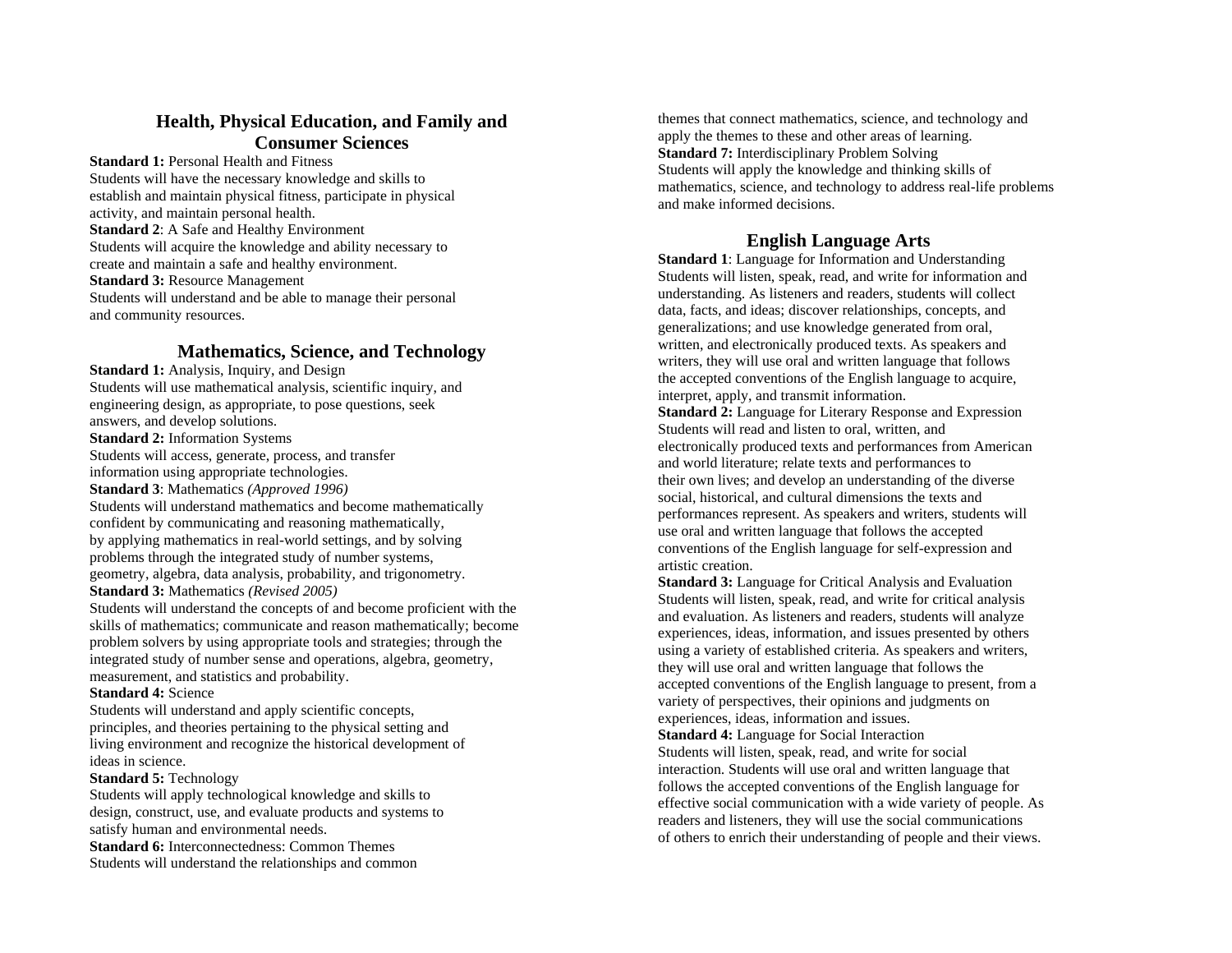# **Health, Physical Education, and Family and Consumer Sciences**

**Standard 1:** Personal Health and Fitness Students will have the necessary knowledge and skills to establish and maintain physical fitness, participate in physical activity, and maintain personal health. **Standard 2:** A Safe and Healthy Environment Students will acquire the knowledge and ability necessary to create and maintain a safe and healthy environment. **Standard 3: Resource Management** Students will understand and be able to manage their personal and community resources.

# **Mathematics, Science, and Technology**

**Standard 1:** Analysis, Inquiry, and Design Students will use mathematical analysis, scientific inquiry, and engineering design, as appropriate, to pose questions, seek answers, and develop solutions. **Standard 2:** Information Systems

Students will access, generate, process, and transfer information using appropriate technologies. **Standard 3**: Mathematics *(Approved 1996)* Students will understand mathematics and become mathematically confident by communicating and reasoning mathematically, by applying mathematics in real-world settings, and by solving problems through the integrated study of number systems, geometry, algebra, data analysis, probability, and trigonometry. **Standard 3:** Mathematics *(Revised 2005)*

Students will understand the concepts of and become proficient with the skills of mathematics; communicate and reason mathematically; become problem solvers by using appropriate tools and strategies; through the integrated study of number sense and operations, algebra, geometry, measurement, and statistics and probability.

#### **Standard 4:** Science

Students will understand and apply scientific concepts, principles, and theories pertaining to the physical setting and living environment and recognize the historical development of ideas in science.

### **Standard 5:** Technology

Students will apply technological knowledge and skills to design, construct, use, and evaluate products and systems to satisfy human and environmental needs. **Standard 6:** Interconnectedness: Common Themes Students will understand the relationships and common

themes that connect mathematics, science, and technology and apply the themes to these and other areas of learning. **Standard 7:** Interdisciplinary Problem Solving Students will apply the knowledge and thinking skills of mathematics, science, and technology to address real-life problems and make informed decisions.

## **English Language Arts**

**Standard 1**: Language for Information and Understanding Students will listen, speak, read, and write for information and understanding. As listeners and readers, students will collect data, facts, and ideas; discover relationships, concepts, and generalizations; and use knowledge generated from oral, written, and electronically produced texts. As speakers and writers, they will use oral and written language that follows the accepted conventions of the English language to acquire, interpret, apply, and transmit information.

**Standard 2:** Language for Literary Response and Expression Students will read and listen to oral, written, and electronically produced texts and performances from American and world literature; relate texts and performances to their own lives; and develop an understanding of the diverse social, historical, and cultural dimensions the texts and performances represent. As speakers and writers, students will use oral and written language that follows the accepted conventions of the English language for self-expression and artistic creation.

**Standard 3:** Language for Critical Analysis and Evaluation Students will listen, speak, read, and write for critical analysis and evaluation. As listeners and readers, students will analyze experiences, ideas, information, and issues presented by others using a variety of established criteria. As speakers and writers, they will use oral and written language that follows the accepted conventions of the English language to present, from a variety of perspectives, their opinions and judgments on experiences, ideas, information and issues. **Standard 4:** Language for Social Interaction

Students will listen, speak, read, and write for social interaction. Students will use oral and written language that follows the accepted conventions of the English language for effective social communication with a wide variety of people. As readers and listeners, they will use the social communications of others to enrich their understanding of people and their views.